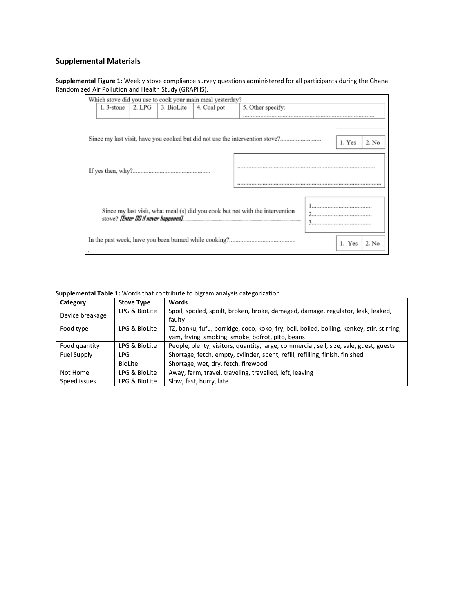## **Supplemental Materials**

**Supplemental Figure 1:** Weekly stove compliance survey questions administered for all participants during the Ghana Randomized Air Pollution and Health Study (GRAPHS).

| Which stove did you use to cook your main meal yesterday?                     |              |                |            |             |                                                                              |        |        |       |
|-------------------------------------------------------------------------------|--------------|----------------|------------|-------------|------------------------------------------------------------------------------|--------|--------|-------|
|                                                                               | $1.3$ -stone | $\vert$ 2. LPG | 3. BioLite | 4. Coal pot | 5. Other specify:                                                            |        |        |       |
|                                                                               |              |                |            |             |                                                                              |        |        |       |
|                                                                               |              |                |            |             | Since my last visit, have you cooked but did not use the intervention stove? |        | 1. Yes | 2. No |
|                                                                               |              |                |            |             |                                                                              |        |        |       |
| Since my last visit, what meal (s) did you cook but not with the intervention |              |                |            | 3.          |                                                                              |        |        |       |
|                                                                               |              |                |            |             |                                                                              | 1. Yes | 2. No  |       |

**Supplemental Table 1:** Words that contribute to bigram analysis categorization.

| Category                                                 | <b>Stove Type</b> | <b>Words</b>                                                                                                                                   |  |  |
|----------------------------------------------------------|-------------------|------------------------------------------------------------------------------------------------------------------------------------------------|--|--|
| Device breakage                                          | LPG & BioLite     | Spoil, spoiled, spoilt, broken, broke, damaged, damage, regulator, leak, leaked,<br>faulty                                                     |  |  |
|                                                          |                   |                                                                                                                                                |  |  |
| LPG & BioLite<br>Food type                               |                   | TZ, banku, fufu, porridge, coco, koko, fry, boil, boiled, boiling, kenkey, stir, stirring,<br>yam, frying, smoking, smoke, bofrot, pito, beans |  |  |
| LPG & BioLite<br>Food quantity                           |                   | People, plenty, visitors, quantity, large, commercial, sell, size, sale, guest, guests                                                         |  |  |
| <b>Fuel Supply</b>                                       | LPG               | Shortage, fetch, empty, cylinder, spent, refill, refilling, finish, finished                                                                   |  |  |
|                                                          | <b>BioLite</b>    | Shortage, wet, dry, fetch, firewood                                                                                                            |  |  |
| LPG & BioLite<br>Not Home                                |                   | Away, farm, travel, traveling, travelled, left, leaving                                                                                        |  |  |
| Slow, fast, hurry, late<br>Speed issues<br>LPG & BioLite |                   |                                                                                                                                                |  |  |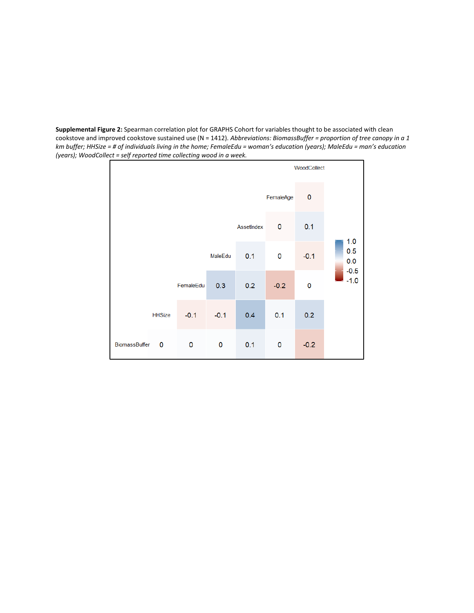**Supplemental Figure 2:** Spearman correlation plot for GRAPHS Cohort for variables thought to be associated with clean cookstove and improved cookstove sustained use (N = 1412). *Abbreviations: BiomassBuffer = proportion of tree canopy in a 1 km buffer; HHSize = # of individuals living in the home; FemaleEdu = woman's education (years); MaleEdu = man's education (years); WoodCollect = self reported time collecting wood in a week.*

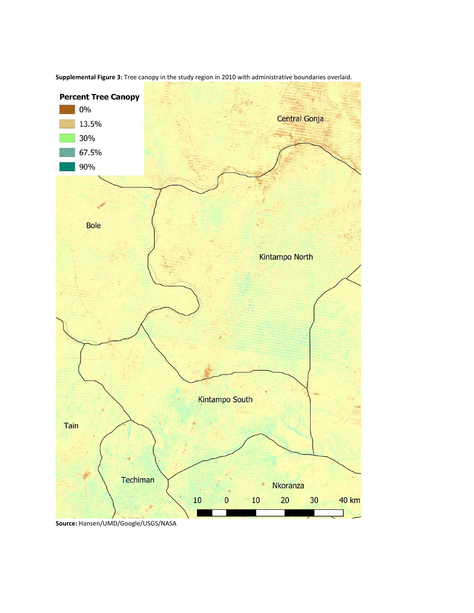

**Supplemental Figure 3:** Tree canopy in the study region in 2010 with administrative boundaries overlaid.

**Source:** Hansen/UMD/Google/USGS/NASA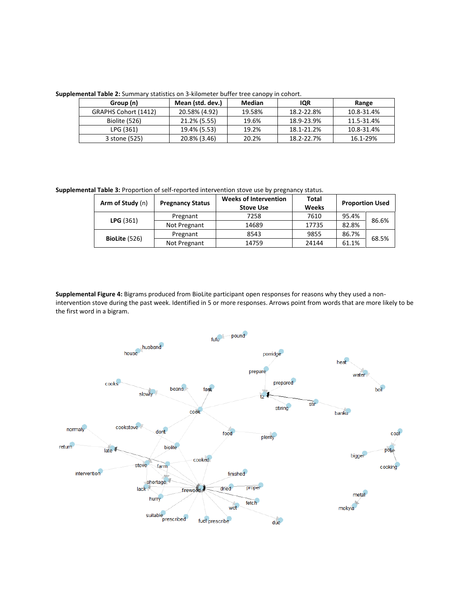**Supplemental Table 2:** Summary statistics on 3-kilometer buffer tree canopy in cohort.

| Group (n)            | Mean (std. dev.) | Median | <b>IQR</b> | Range      |  |  |
|----------------------|------------------|--------|------------|------------|--|--|
| GRAPHS Cohort (1412) | 20.58% (4.92)    | 19.58% | 18.2-22.8% | 10.8-31.4% |  |  |
| Biolite (526)        | 21.2% (5.55)     | 19.6%  | 18.9-23.9% | 11.5-31.4% |  |  |
| LPG (361)            | 19.4% (5.53)     | 19.2%  | 18.1-21.2% | 10.8-31.4% |  |  |
| 3 stone (525)        | 20.8% (3.46)     | 20.2%  | 18.2-22.7% | 16.1-29%   |  |  |

**Supplemental Table 3:** Proportion of self-reported intervention stove use by pregnancy status.

| Arm of Study (n) | <b>Pregnancy Status</b> | <b>Weeks of Intervention</b><br><b>Stove Use</b> | <b>Total</b><br>Weeks |       | <b>Proportion Used</b> |
|------------------|-------------------------|--------------------------------------------------|-----------------------|-------|------------------------|
| LPG(361)         | Pregnant                | 7258                                             | 7610                  | 95.4% | 86.6%                  |
|                  | Not Pregnant            | 14689                                            | 17735                 | 82.8% |                        |
|                  | Pregnant                | 8543                                             | 9855                  | 86.7% | 68.5%                  |
| BioLite (526)    | Not Pregnant            | 14759                                            | 24144                 | 61.1% |                        |

**Supplemental Figure 4:** Bigrams produced from BioLite participant open responses for reasons why they used a nonintervention stove during the past week. Identified in 5 or more responses. Arrows point from words that are more likely to be the first word in a bigram.

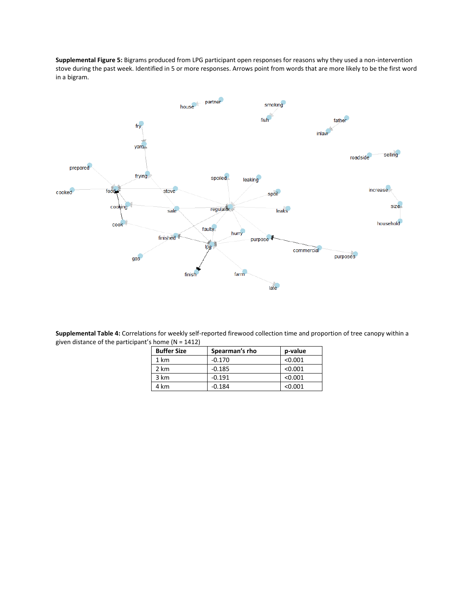**Supplemental Figure 5:** Bigrams produced from LPG participant open responses for reasons why they used a non-intervention stove during the past week. Identified in 5 or more responses. Arrows point from words that are more likely to be the first word in a bigram.



**Supplemental Table 4:** Correlations for weekly self-reported firewood collection time and proportion of tree canopy within a given distance of the participant's home (N = 1412)

| <b>Buffer Size</b> | Spearman's rho | p-value |
|--------------------|----------------|---------|
| 1 km               | $-0.170$       | < 0.001 |
| 2 km               | $-0.185$       | < 0.001 |
| 3 km               | $-0.191$       | < 0.001 |
| 4 km               | $-0.184$       | < 0.001 |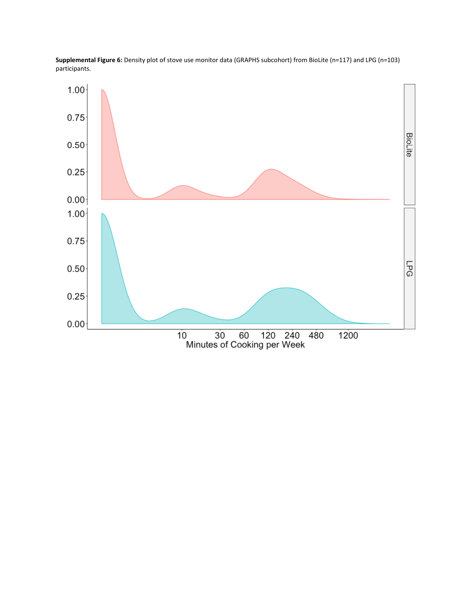

**Supplemental Figure 6:** Density plot of stove use monitor data (GRAPHS subcohort) from BioLite (n=117) and LPG (n=103) participants.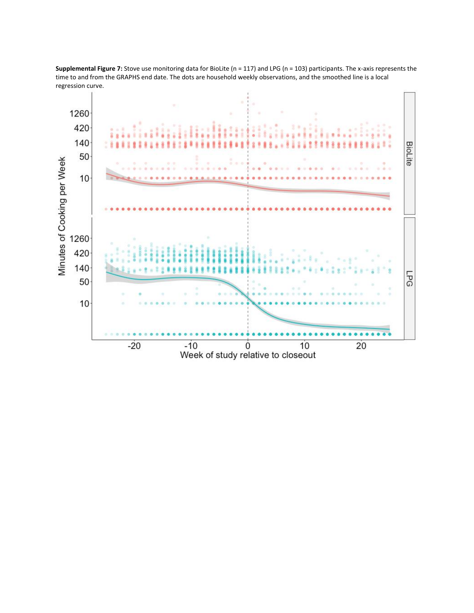

**Supplemental Figure 7:** Stove use monitoring data for BioLite (n = 117) and LPG (n = 103) participants. The x-axis represents the time to and from the GRAPHS end date. The dots are household weekly observations, and the smoothed line is a local regression curve.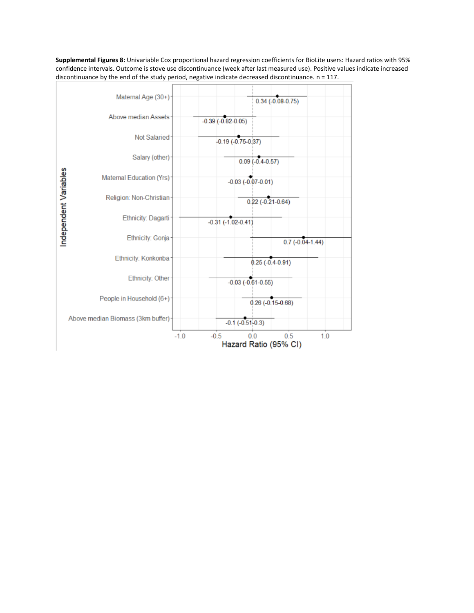**Supplemental Figures 8:** Univariable Cox proportional hazard regression coefficients for BioLite users: Hazard ratios with 95% confidence intervals. Outcome is stove use discontinuance (week after last measured use). Positive values indicate increased discontinuance by the end of the study period, negative indicate decreased discontinuance. n = 117.